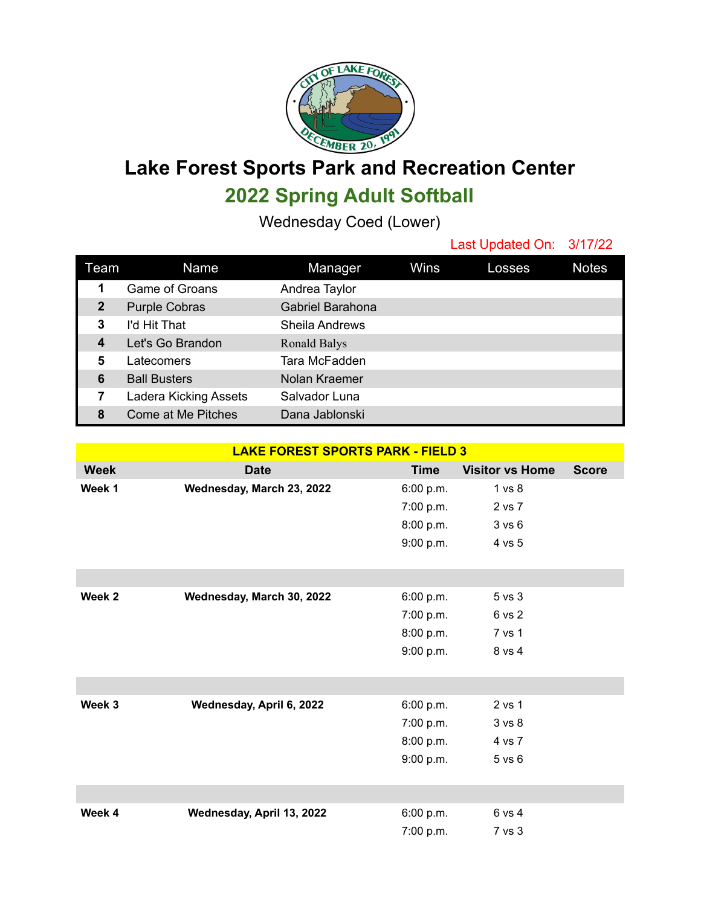

**Lake Forest Sports Park and Recreation Center 2022 Spring Adult Softball**

Wednesday Coed (Lower)

Last Updated On: 3/17/22

| Team         | Name                  | Manager               | Wins | Losses | <b>Notes</b> |
|--------------|-----------------------|-----------------------|------|--------|--------------|
| 1            | Game of Groans        | Andrea Taylor         |      |        |              |
| $\mathbf{2}$ | <b>Purple Cobras</b>  | Gabriel Barahona      |      |        |              |
| 3            | I'd Hit That          | <b>Sheila Andrews</b> |      |        |              |
| 4            | Let's Go Brandon      | Ronald Balys          |      |        |              |
| 5            | Latecomers            | Tara McFadden         |      |        |              |
| 6            | <b>Ball Busters</b>   | Nolan Kraemer         |      |        |              |
| 7            | Ladera Kicking Assets | Salvador Luna         |      |        |              |
| 8            | Come at Me Pitches    | Dana Jablonski        |      |        |              |

| <b>LAKE FOREST SPORTS PARK - FIELD 3</b> |                           |             |                        |              |  |  |  |
|------------------------------------------|---------------------------|-------------|------------------------|--------------|--|--|--|
| <b>Week</b>                              | <b>Date</b>               | <b>Time</b> | <b>Visitor vs Home</b> | <b>Score</b> |  |  |  |
| Week 1                                   | Wednesday, March 23, 2022 | 6:00 p.m.   | 1 vs 8                 |              |  |  |  |
|                                          |                           | 7:00 p.m.   | 2 vs 7                 |              |  |  |  |
|                                          |                           | 8:00 p.m.   | 3 vs 6                 |              |  |  |  |
|                                          |                           | 9:00 p.m.   | 4 vs 5                 |              |  |  |  |
|                                          |                           |             |                        |              |  |  |  |
|                                          |                           |             |                        |              |  |  |  |
| Week 2                                   | Wednesday, March 30, 2022 | 6:00 p.m.   | 5 vs 3                 |              |  |  |  |
|                                          |                           | 7:00 p.m.   | 6 vs 2                 |              |  |  |  |
|                                          |                           | 8:00 p.m.   | 7 vs 1                 |              |  |  |  |
|                                          |                           | 9:00 p.m.   | 8 vs 4                 |              |  |  |  |
|                                          |                           |             |                        |              |  |  |  |
|                                          |                           |             |                        |              |  |  |  |
| Week 3                                   | Wednesday, April 6, 2022  | 6:00 p.m.   | 2 vs 1                 |              |  |  |  |
|                                          |                           | 7:00 p.m.   | 3 vs 8                 |              |  |  |  |
|                                          |                           | 8:00 p.m.   | 4 vs 7                 |              |  |  |  |
|                                          |                           | 9:00 p.m.   | 5 vs 6                 |              |  |  |  |
|                                          |                           |             |                        |              |  |  |  |
|                                          |                           |             |                        |              |  |  |  |
| Week 4                                   | Wednesday, April 13, 2022 | 6:00 p.m.   | 6 vs 4                 |              |  |  |  |
|                                          |                           | 7:00 p.m.   | 7 vs 3                 |              |  |  |  |